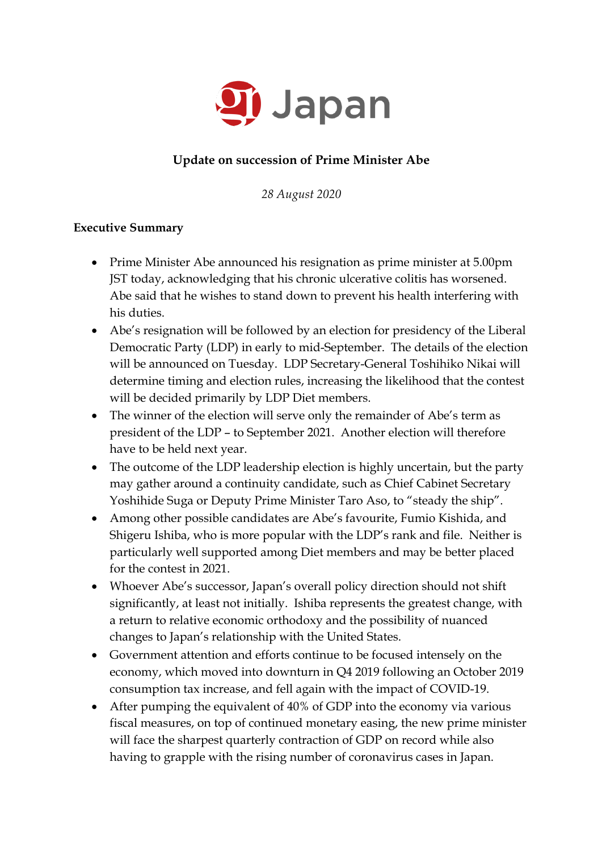

# **Update on succession of Prime Minister Abe**

*28 August 2020*

### **Executive Summary**

- Prime Minister Abe announced his resignation as prime minister at 5.00pm JST today, acknowledging that his chronic ulcerative colitis has worsened. Abe said that he wishes to stand down to prevent his health interfering with his duties.
- Abe's resignation will be followed by an election for presidency of the Liberal Democratic Party (LDP) in early to mid-September. The details of the election will be announced on Tuesday. LDP Secretary-General Toshihiko Nikai will determine timing and election rules, increasing the likelihood that the contest will be decided primarily by LDP Diet members.
- The winner of the election will serve only the remainder of Abe's term as president of the LDP – to September 2021. Another election will therefore have to be held next year.
- The outcome of the LDP leadership election is highly uncertain, but the party may gather around a continuity candidate, such as Chief Cabinet Secretary Yoshihide Suga or Deputy Prime Minister Taro Aso, to "steady the ship".
- Among other possible candidates are Abe's favourite, Fumio Kishida, and Shigeru Ishiba, who is more popular with the LDP's rank and file. Neither is particularly well supported among Diet members and may be better placed for the contest in 2021.
- Whoever Abe's successor, Japan's overall policy direction should not shift significantly, at least not initially. Ishiba represents the greatest change, with a return to relative economic orthodoxy and the possibility of nuanced changes to Japan's relationship with the United States.
- Government attention and efforts continue to be focused intensely on the economy, which moved into downturn in Q4 2019 following an October 2019 consumption tax increase, and fell again with the impact of COVID-19.
- After pumping the equivalent of 40% of GDP into the economy via various fiscal measures, on top of continued monetary easing, the new prime minister will face the sharpest quarterly contraction of GDP on record while also having to grapple with the rising number of coronavirus cases in Japan.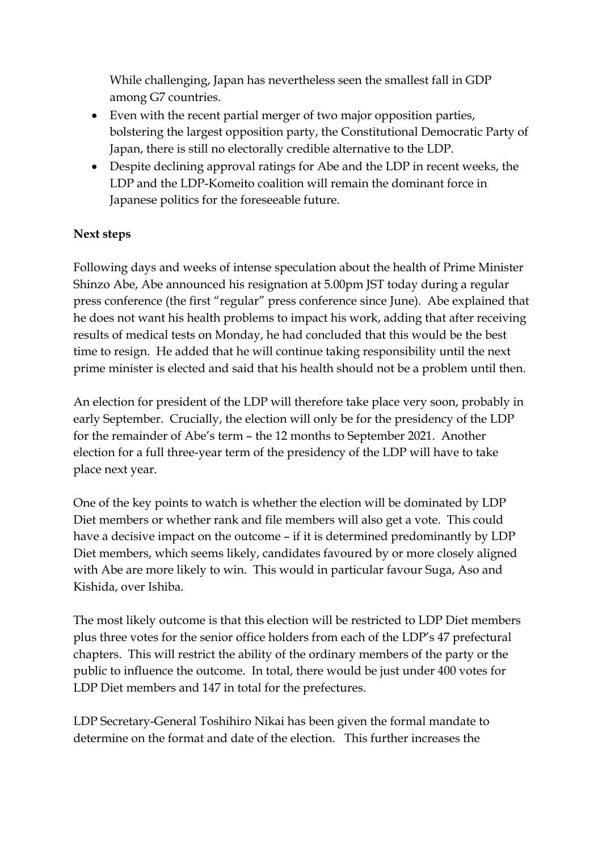While challenging, Japan has nevertheless seen the smallest fall in GDP among G7 countries.

- Even with the recent partial merger of two major opposition parties, bolstering the largest opposition party, the Constitutional Democratic Party of Japan, there is still no electorally credible alternative to the LDP.
- Despite declining approval ratings for Abe and the LDP in recent weeks, the LDP and the LDP-Komeito coalition will remain the dominant force in Japanese politics for the foreseeable future.

## **Next steps**

Following days and weeks of intense speculation about the health of Prime Minister Shinzo Abe, Abe announced his resignation at 5.00pm JST today during a regular press conference (the first "regular" press conference since June). Abe explained that he does not want his health problems to impact his work, adding that after receiving results of medical tests on Monday, he had concluded that this would be the best time to resign. He added that he will continue taking responsibility until the next prime minister is elected and said that his health should not be a problem until then.

An election for president of the LDP will therefore take place very soon, probably in early September. Crucially, the election will only be for the presidency of the LDP for the remainder of Abe's term – the 12 months to September 2021. Another election for a full three-year term of the presidency of the LDP will have to take place next year.

One of the key points to watch is whether the election will be dominated by LDP Diet members or whether rank and file members will also get a vote. This could have a decisive impact on the outcome – if it is determined predominantly by LDP Diet members, which seems likely, candidates favoured by or more closely aligned with Abe are more likely to win. This would in particular favour Suga, Aso and Kishida, over Ishiba.

The most likely outcome is that this election will be restricted to LDP Diet members plus three votes for the senior office holders from each of the LDP's 47 prefectural chapters. This will restrict the ability of the ordinary members of the party or the public to influence the outcome. In total, there would be just under 400 votes for LDP Diet members and 147 in total for the prefectures.

LDP Secretary-General Toshihiro Nikai has been given the formal mandate to determine on the format and date of the election. This further increases the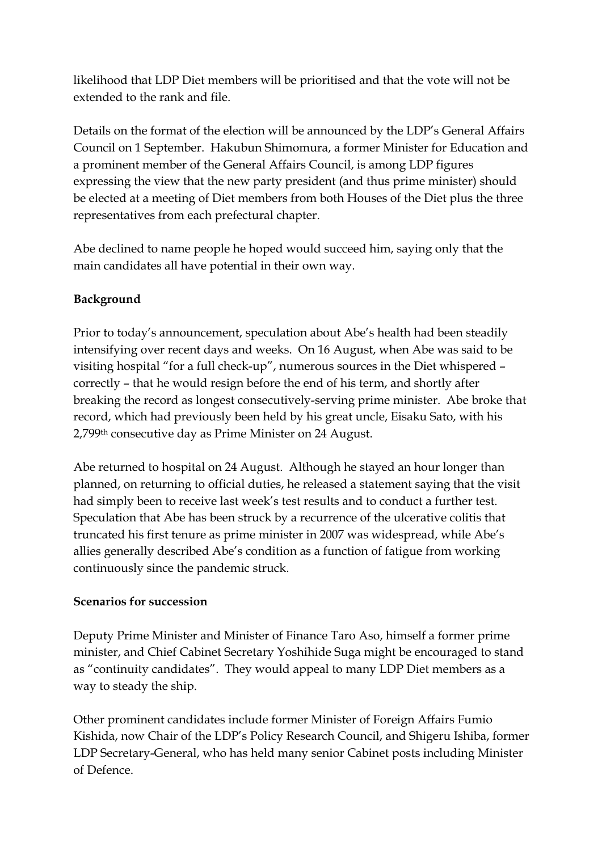likelihood that LDP Diet members will be prioritised and that the vote will not be extended to the rank and file.

Details on the format of the election will be announced by the LDP's General Affairs Council on 1 September. Hakubun Shimomura, a former Minister for Education and a prominent member of the General Affairs Council, is among LDP figures expressing the view that the new party president (and thus prime minister) should be elected at a meeting of Diet members from both Houses of the Diet plus the three representatives from each prefectural chapter.

Abe declined to name people he hoped would succeed him, saying only that the main candidates all have potential in their own way.

# **Background**

Prior to today's announcement, speculation about Abe's health had been steadily intensifying over recent days and weeks. On 16 August, when Abe was said to be visiting hospital "for a full check-up", numerous sources in the Diet whispered – correctly – that he would resign before the end of his term, and shortly after breaking the record as longest consecutively-serving prime minister. Abe broke that record, which had previously been held by his great uncle, Eisaku Sato, with his 2,799th consecutive day as Prime Minister on 24 August.

Abe returned to hospital on 24 August. Although he stayed an hour longer than planned, on returning to official duties, he released a statement saying that the visit had simply been to receive last week's test results and to conduct a further test. Speculation that Abe has been struck by a recurrence of the ulcerative colitis that truncated his first tenure as prime minister in 2007 was widespread, while Abe's allies generally described Abe's condition as a function of fatigue from working continuously since the pandemic struck.

### **Scenarios for succession**

Deputy Prime Minister and Minister of Finance Taro Aso, himself a former prime minister, and Chief Cabinet Secretary Yoshihide Suga might be encouraged to stand as "continuity candidates". They would appeal to many LDP Diet members as a way to steady the ship.

Other prominent candidates include former Minister of Foreign Affairs Fumio Kishida, now Chair of the LDP's Policy Research Council, and Shigeru Ishiba, former LDP Secretary-General, who has held many senior Cabinet posts including Minister of Defence.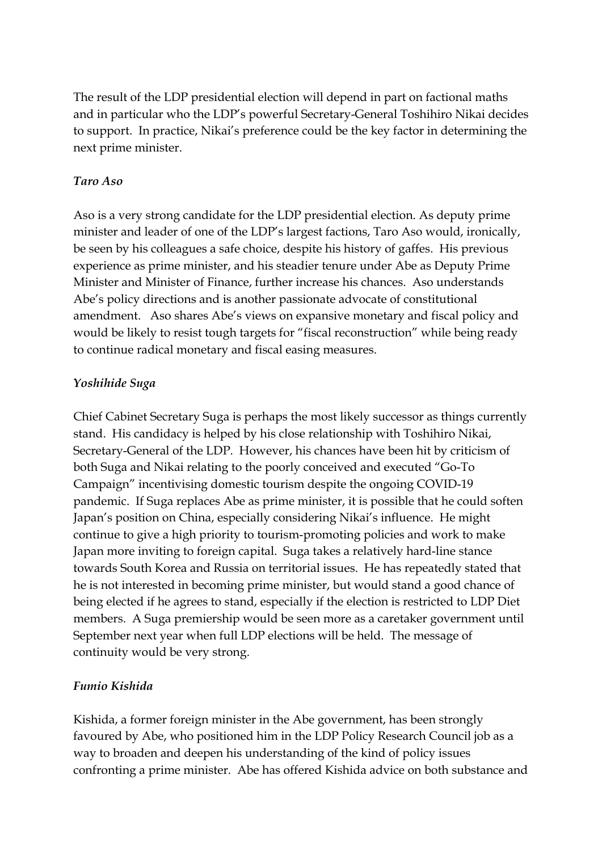The result of the LDP presidential election will depend in part on factional maths and in particular who the LDP's powerful Secretary-General Toshihiro Nikai decides to support. In practice, Nikai's preference could be the key factor in determining the next prime minister.

### *Taro Aso*

Aso is a very strong candidate for the LDP presidential election. As deputy prime minister and leader of one of the LDP's largest factions, Taro Aso would, ironically, be seen by his colleagues a safe choice, despite his history of gaffes. His previous experience as prime minister, and his steadier tenure under Abe as Deputy Prime Minister and Minister of Finance, further increase his chances. Aso understands Abe's policy directions and is another passionate advocate of constitutional amendment. Aso shares Abe's views on expansive monetary and fiscal policy and would be likely to resist tough targets for "fiscal reconstruction" while being ready to continue radical monetary and fiscal easing measures.

## *Yoshihide Suga*

Chief Cabinet Secretary Suga is perhaps the most likely successor as things currently stand. His candidacy is helped by his close relationship with Toshihiro Nikai, Secretary-General of the LDP. However, his chances have been hit by criticism of both Suga and Nikai relating to the poorly conceived and executed "Go-To Campaign" incentivising domestic tourism despite the ongoing COVID-19 pandemic. If Suga replaces Abe as prime minister, it is possible that he could soften Japan's position on China, especially considering Nikai's influence. He might continue to give a high priority to tourism-promoting policies and work to make Japan more inviting to foreign capital. Suga takes a relatively hard-line stance towards South Korea and Russia on territorial issues. He has repeatedly stated that he is not interested in becoming prime minister, but would stand a good chance of being elected if he agrees to stand, especially if the election is restricted to LDP Diet members. A Suga premiership would be seen more as a caretaker government until September next year when full LDP elections will be held. The message of continuity would be very strong.

# *Fumio Kishida*

Kishida, a former foreign minister in the Abe government, has been strongly favoured by Abe, who positioned him in the LDP Policy Research Council job as a way to broaden and deepen his understanding of the kind of policy issues confronting a prime minister. Abe has offered Kishida advice on both substance and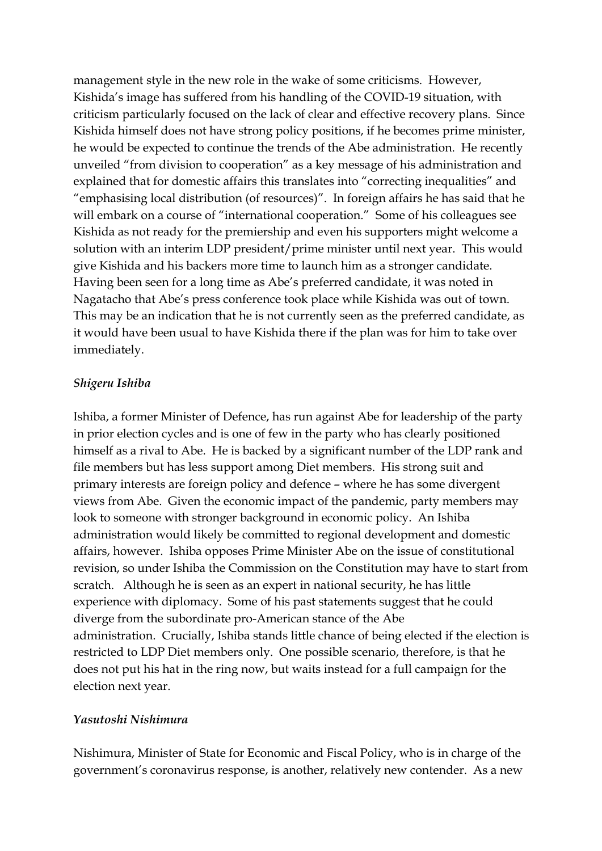management style in the new role in the wake of some criticisms. However, Kishida's image has suffered from his handling of the COVID-19 situation, with criticism particularly focused on the lack of clear and effective recovery plans. Since Kishida himself does not have strong policy positions, if he becomes prime minister, he would be expected to continue the trends of the Abe administration. He recently unveiled "from division to cooperation" as a key message of his administration and explained that for domestic affairs this translates into "correcting inequalities" and "emphasising local distribution (of resources)". In foreign affairs he has said that he will embark on a course of "international cooperation." Some of his colleagues see Kishida as not ready for the premiership and even his supporters might welcome a solution with an interim LDP president/prime minister until next year. This would give Kishida and his backers more time to launch him as a stronger candidate. Having been seen for a long time as Abe's preferred candidate, it was noted in Nagatacho that Abe's press conference took place while Kishida was out of town. This may be an indication that he is not currently seen as the preferred candidate, as it would have been usual to have Kishida there if the plan was for him to take over immediately.

#### *Shigeru Ishiba*

Ishiba, a former Minister of Defence, has run against Abe for leadership of the party in prior election cycles and is one of few in the party who has clearly positioned himself as a rival to Abe. He is backed by a significant number of the LDP rank and file members but has less support among Diet members. His strong suit and primary interests are foreign policy and defence – where he has some divergent views from Abe. Given the economic impact of the pandemic, party members may look to someone with stronger background in economic policy. An Ishiba administration would likely be committed to regional development and domestic affairs, however. Ishiba opposes Prime Minister Abe on the issue of constitutional revision, so under Ishiba the Commission on the Constitution may have to start from scratch. Although he is seen as an expert in national security, he has little experience with diplomacy. Some of his past statements suggest that he could diverge from the subordinate pro-American stance of the Abe administration. Crucially, Ishiba stands little chance of being elected if the election is restricted to LDP Diet members only. One possible scenario, therefore, is that he does not put his hat in the ring now, but waits instead for a full campaign for the election next year.

#### *Yasutoshi Nishimura*

Nishimura, Minister of State for Economic and Fiscal Policy, who is in charge of the government's coronavirus response, is another, relatively new contender. As a new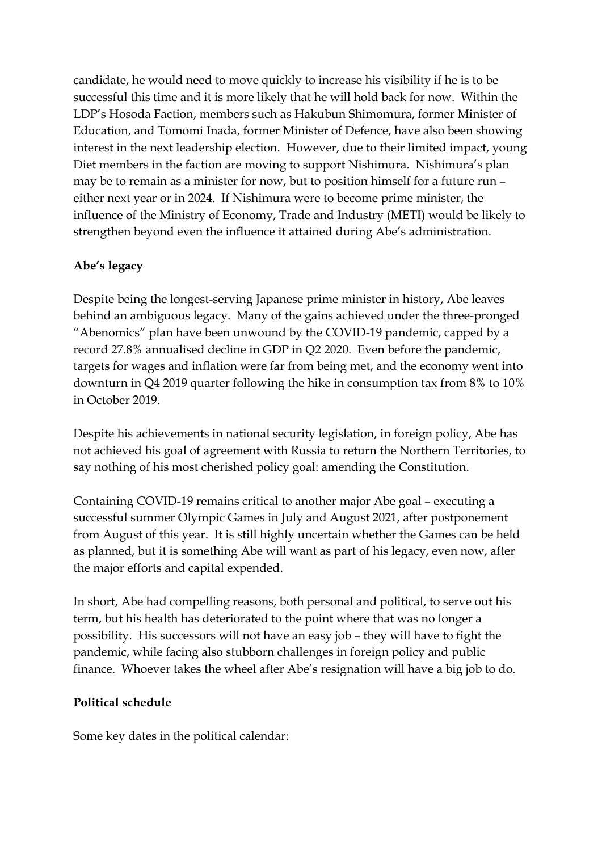candidate, he would need to move quickly to increase his visibility if he is to be successful this time and it is more likely that he will hold back for now. Within the LDP's Hosoda Faction, members such as Hakubun Shimomura, former Minister of Education, and Tomomi Inada, former Minister of Defence, have also been showing interest in the next leadership election. However, due to their limited impact, young Diet members in the faction are moving to support Nishimura. Nishimura's plan may be to remain as a minister for now, but to position himself for a future run – either next year or in 2024. If Nishimura were to become prime minister, the influence of the Ministry of Economy, Trade and Industry (METI) would be likely to strengthen beyond even the influence it attained during Abe's administration.

# **Abe's legacy**

Despite being the longest-serving Japanese prime minister in history, Abe leaves behind an ambiguous legacy. Many of the gains achieved under the three-pronged "Abenomics" plan have been unwound by the COVID-19 pandemic, capped by a record 27.8% annualised decline in GDP in Q2 2020. Even before the pandemic, targets for wages and inflation were far from being met, and the economy went into downturn in Q4 2019 quarter following the hike in consumption tax from 8% to 10% in October 2019.

Despite his achievements in national security legislation, in foreign policy, Abe has not achieved his goal of agreement with Russia to return the Northern Territories, to say nothing of his most cherished policy goal: amending the Constitution.

Containing COVID-19 remains critical to another major Abe goal – executing a successful summer Olympic Games in July and August 2021, after postponement from August of this year. It is still highly uncertain whether the Games can be held as planned, but it is something Abe will want as part of his legacy, even now, after the major efforts and capital expended.

In short, Abe had compelling reasons, both personal and political, to serve out his term, but his health has deteriorated to the point where that was no longer a possibility. His successors will not have an easy job – they will have to fight the pandemic, while facing also stubborn challenges in foreign policy and public finance. Whoever takes the wheel after Abe's resignation will have a big job to do.

#### **Political schedule**

Some key dates in the political calendar: